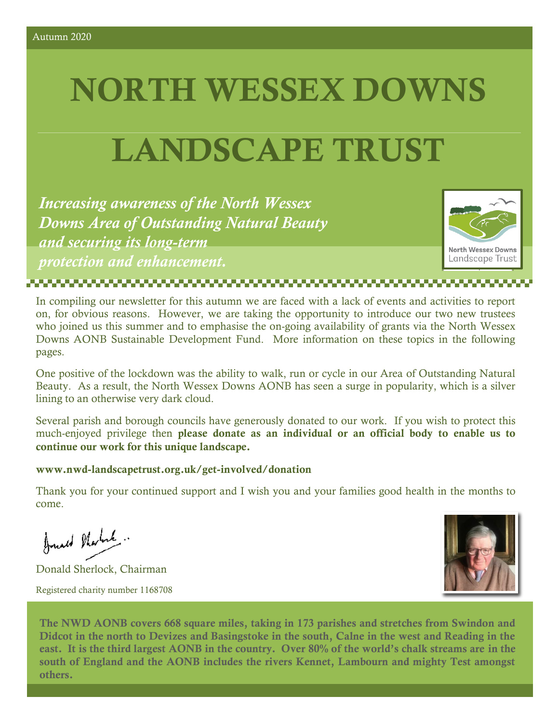# **NORTH WESSEX DOWNS**

## **LANDSCAPE TRUST**

*Increasing awareness of the North Wessex Downs Area of Outstanding Natural Beauty and securing its long-term protection and enhancement.*

,,,,,,,,,,,,,,,,,,,,,,,,,,,,



In compiling our newsletter for this autumn we are faced with a lack of events and activities to report on, for obvious reasons. However, we are taking the opportunity to introduce our two new trustees who joined us this summer and to emphasise the on-going availability of grants via the North Wessex Downs AONB Sustainable Development Fund. More information on these topics in the following

One positive of the lockdown was the ability to walk, run or cycle in our Area of Outstanding Natural Beauty. As a result, the North Wessex Downs AONB has seen a surge in popularity, which is a silver lining to an otherwise very dark cloud.

Several parish and borough councils have generously donated to our work. If you wish to protect this much-enjoyed privilege then **please donate as an individual or an official body to enable us to continue our work for this unique landscape.**

#### **www.nwd-landscapetrust.org.uk/get-involved/donation**

Thank you for your continued support and I wish you and your families good health in the months to come.

Just Norte

pages.

Donald Sherlock, Chairman Registered charity number 1168708



**The NWD AONB covers 668 square miles, taking in 173 parishes and stretches from Swindon and Didcot in the north to Devizes and Basingstoke in the south, Calne in the west and Reading in the east. It is the third largest AONB in the country. Over 80% of the world's chalk streams are in the south of England and the AONB includes the rivers Kennet, Lambourn and mighty Test amongst others.**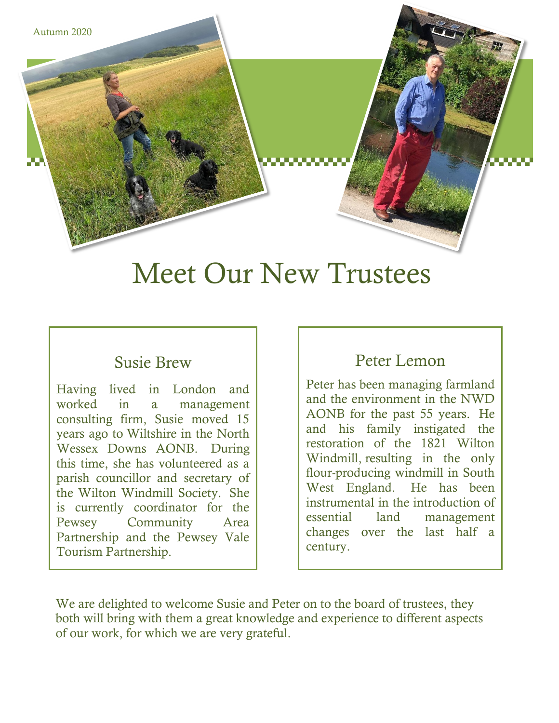

### Meet Our New Trustees

#### Susie Brew

Having lived in London and worked in a management consulting firm, Susie moved 15 years ago to Wiltshire in the North Wessex Downs AONB. During this time, she has volunteered as a parish councillor and secretary of the Wilton Windmill Society. She is currently coordinator for the Pewsey Community Area Partnership and the Pewsey Vale Tourism Partnership.

### Peter Lemon

Peter has been managing farmland and the environment in the NWD AONB for the past 55 years. He and his family instigated the restoration of the 1821 Wilton Windmill, resulting in the only flour-producing windmill in South West England. He has been instrumental in the introduction of essential land management changes over the last half a century.

We are delighted to welcome Susie and Peter on to the board of trustees, they both will bring with them a great knowledge and experience to different aspects of our work, for which we are very grateful.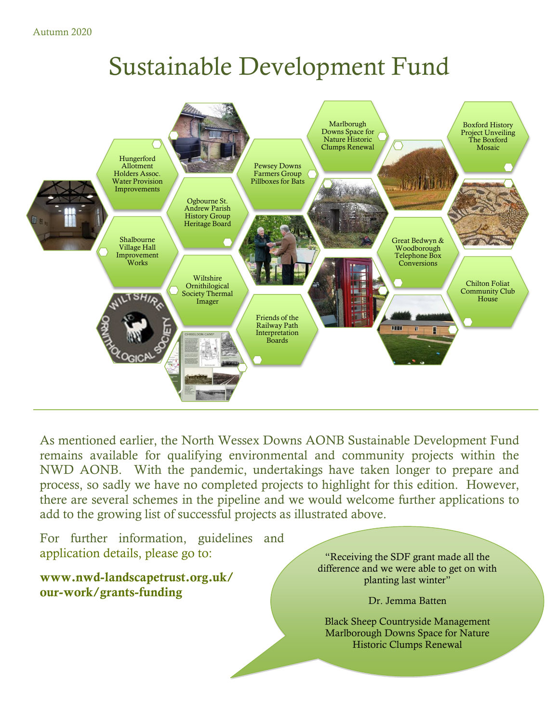Autumn 2020

### Sustainable Development Fund



As mentioned earlier, the North Wessex Downs AONB Sustainable Development Fund remains available for qualifying environmental and community projects within the NWD AONB. With the pandemic, undertakings have taken longer to prepare and process, so sadly we have no completed projects to highlight for this edition. However, there are several schemes in the pipeline and we would welcome further applications to add to the growing list of successful projects as illustrated above.

For further information, guidelines and application details, please go to:

**www.nwd-landscapetrust.org.uk/ our-work/grants-funding**

"Receiving the SDF grant made all the difference and we were able to get on with planting last winter"

Dr. Jemma Batten

Black Sheep Countryside Management Marlborough Downs Space for Nature Historic Clumps Renewal